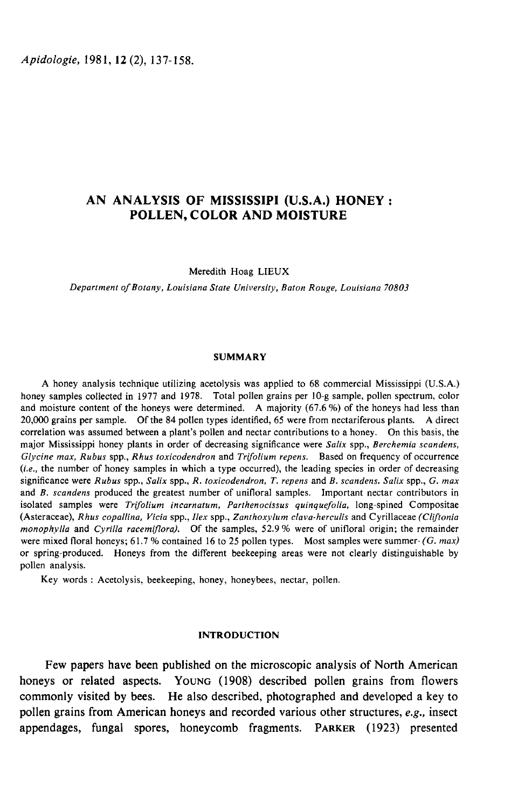# AN ANALYSIS OF MISSISSIPI (U.S.A.) HONEY : POLLEN, COLOR AND MOISTURE

Meredith Hoag LIEUX

Department of Botany, Louisiana State University, Baton Rouge, Louisiana 70803

## SUMMARY

A honey analysis technique utilizing acetolysis was applied to 68 commercial Mississippi (U.S.A.) honey samples collected in 1977 and 1978. Total pollen grains per 10-g sample, pollen spectrum, color and moisture content of the honeys were determined. A majority (67.6 %) of the honeys had less than 20,000 grains per sample. Of the 84 pollen types identified, 65 were from nectariferous plants. A direct correlation was assumed between a plant's pollen and nectar contributions to a honey. On this basis, the major Mississippi honey plants in order of decreasing significance were Salix spp., Berchemia scandens, Glycine max, Rubus spp., Rhus toxicodendron and Trifolium repens. Based on frequency of occurrence (i.e., the number of honey samples in which a type occurred), the leading species in order of decreasing significance were Rubus spp., Salix spp., R. toxicodendron, T. repens and B. scandens. Salix spp., G. max and B. scandens produced the greatest number of unifloral samples. Important nectar contributors in isolated samples were Trifolium incarnatum, Parthenocissus quinquefolia, long-spined Compositae (Asteraceae), Rhus copallina, Vicia spp., Ilex spp., Zanthoxylum clava-herculis and Cyrillaceae (Cliftonia monophylla and Cyrilla racemiflora). Of the samples, 52.9 % were of unifloral origin; the remainder were mixed floral honeys; 61.7 % contained 16 to 25 pollen types. Most samples were summer- $(G, max)$ or spring-produced. Honeys from the different beekeeping areas were not clearly distinguishable by pollen analysis.

Key words : Acetolysis, beekeeping, honey, honeybees, nectar, pollen.

## INTRODUCTION

Few papers have been published on the microscopic analysis of North American honeys or related aspects. YOUNG (1908) described pollen grains from flowers commonly visited by bees. He also described, photographed and developed a key to pollen grains from American honeys and recorded various other structures, e.g., insect honeys or related aspects. YOUNG (1908) described pollen grains from flowers<br>commonly visited by bees. He also described, photographed and developed a key to<br>pollen grains from American honeys and recorded various other st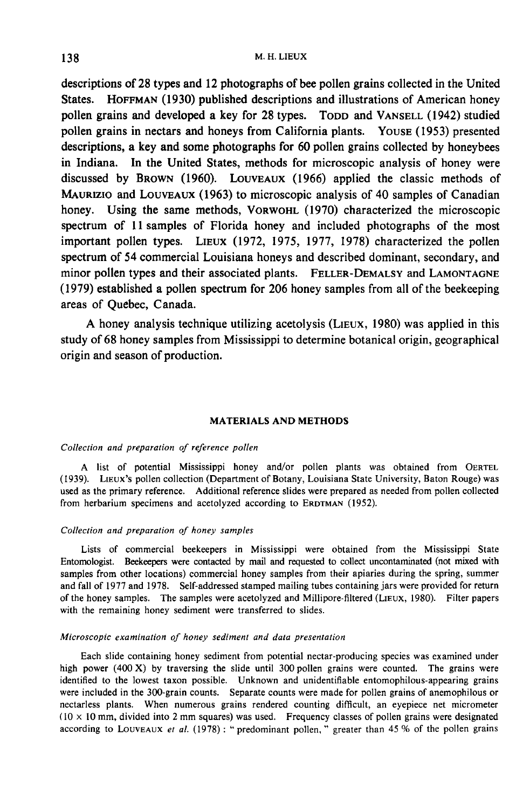descriptions of 28 types and 12 photographs of bee pollen grains collected in the United M. H. LIEUX<br>States. Hoffman (1930) published descriptions and illustrations of American honey<br>pollen grains and developed a key for 28 types. Topp and VANSELL (1942) studied pollen grains of 28 types and 12 photographs of bee pollen grains collected in the United<br>States. HOFFMAN (1930) published descriptions and illustrations of American honey<br>pollen grains and developed a key for 28 types. TO pollen grains in nectars and honeys from California plants. Youse (1953) presented descriptions, a key and some photographs for 60 pollen grains collected by honeybees in Indiana. In the United States, methods for microscopic analysis of honey were discussed by BROWN (1960). LouVEAUX (1966) applied the classic methods of pollen grains in nectars and honeys from California plants. Youse (1953) presented<br>descriptions, a key and some photographs for 60 pollen grains collected by honeybees<br>in Indiana. In the United States, methods for microsco descriptions, a key and some photographs for ob polien grains collected by honeybees<br>in Indiana. In the United States, methods for microscopic analysis of honey were<br>discussed by BROWN (1960). LOUVEAUX (1966) applied the c spectrum of 11 samples of Florida honey and included photographs of the most honey. Using the same methods, VORWOHL (1970) characterized the microscopic spectrum of 11 samples of Florida honey and included photographs of the most important pollen types. LIEUX (1972, 1975, 1977, 1978) characterized spectrum of 54 commercial Louisiana honeys and described dominant, secondary, and in Indiana. In the United States, methods for microscopic analysis of honey were<br>discussed by BROWN (1960). LOUVEAUX (1966) applied the classic methods of<br>MAURIZIO and LOUVEAUX (1963) to microscopic analysis of 40 samples (1979) established a pollen spectrum for 206 honey samples from all of the beekeeping areas of Quebec, Canada.<br>A honey analysis technique utilizing acetolysis (LIEUX, 1980) was applied in this study of 68 honey samples fr areas of Quebec, Canada.

study of 68 honey samples from Mississippi to determine botanical origin, geographical origin and season of production.

## MATERIALS AND METHODS

## Collection and preparation of reference pollen

A list of potential Mississippi honey and/or pollen plants was obtained from OERTEL Collection and preparation of reference pollen<br>
A list of potential Mississippi honey and/or pollen plants was obtained from OERTEL<br>
(1939). LIEUX's pollen collection (Department of Botany, Louisiana State University, Bato used as the primary reference. Additional reference slides were prepared as needed from pollen collected from herbarium specimens and acetolyzed according to ERDTMAN (1952). A list of potential Mississippi honey and/or pollen plants w<br>(1939). LIEUX's pollen collection (Department of Botany, Louisiana State l<br>used as the primary reference. Additional reference slides were prepared as<br>from herba

## Collection and preparation of honey samples

Lists of commercial beekeepers in Mississippi were obtained from the Mississippi State Entomologist. Beekeepers were contacted by mail and requested to collect uncontaminated (not mixed with samples from other locations) commercial honey samples from their apiaries during the spring, summer and fall of 1977 and 1978. Self-addressed stamped mailing tubes containing jars were provided for return of the honey samples. The samples were acetolyzed and Millipore-filtered (LiEUx, 1980). Filter papers with the remaining honey sediment were transferred to slides.

### Microscopic examination of honey sediment and data presentation

Each slide containing honey sediment from potential nectar-producing species was examined under high power  $(400 \text{ X})$  by traversing the slide until 300 pollen grains were counted. The grains were identified to the lowest taxon possible. Unknown and unidentifiable entomophilous-appearing grains were included in the 300-grain counts. Separate counts were made for pollen grains of anemophilous or nectarless plants. When numerous grains rendered counting difficult, an eyepiece net micrometer  $(10 \times 10 \text{ mm}, \text{divided into 2 mm squares})$  was used. Frequency classes of pollen grains were designated according to LOUVEAUX et al. (1978): "predominant pollen," greater than 45 % of the pollen grains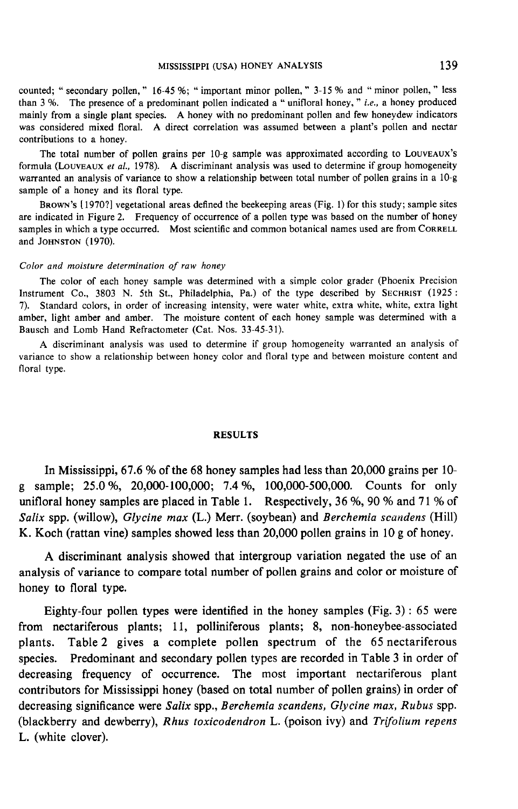counted; "secondary pollen, " 16-45 %; "important minor pollen, " 3-15 % and "minor pollen, " less than 3 %. The presence of a predominant pollen indicated a "unifloral honey, " *i.e.*, a honey produced mainly from a single plant species. A honey with no predominant pollen and few honeydew indicators was considered mixed floral. A direct correlation was assumed between a plant's pollen and nectar contributions to a honey. pollen, " less<br>ey produced<br>w indicators<br>and nectar<br>LouveAux's<br>homogeneity

Formula (LouveAux *et al.*, 1978). A discriminant analysis was used to determine if group homogeneity warranted an analysis of variance to show a relationship between total number of pollen grains in a 10-g sample of a hon The total number of pollen grains per 10-g sample was approximated according to warranted an analysis of variance to show a relationship between total number of pollen grains in a 10-g sample of a honey and its floral type.

are indicated in Figure 2. Frequency of occurrence of a pollen type was based on the number of honey BROWN's [1970?] vegetational areas defined the beekeeping areas (Fig. 1) for this study; sample sites are indicated in Figure 2. Frequency of occurrence of a pollen type was based on the number of honey samples in which a and JOHNSTON (1970).

### Color and moisture determination of raw honey

The color of each honey sample was determined with a simple color grader (Phoenix Precision Instrument Co., 3803 N. 5th St., Philadelphia, Pa.) of the type described by SECHRIST (1925 : 7). Standard colors, in order of increasing intensity, were water white, extra white, white, extra light amber, light amber and amber. The moisture content of each honey sample was determined with a Bausch and Lomb Hand Refractometer (Cat. Nos. 33-45-31).

A discriminant analysis was used to determine if group homogeneity warranted an analysis of variance to show a relationship between honey color and floral type and between moisture content and floral type.

## RESULTS

In Mississippi, 67.6 % of the 68 honey samples had less than 20,000 grains per 10 g sample; 25.0%, 20,000-100,000; 7.4 %, 100,000-500,000. Counts for only unifloral honey samples are placed in Table 1. Respectively, 36 %, 90 % and 71 % of Salix spp. (willow), Glycine max  $(L)$  Merr. (soybean) and Berchemia scandens (Hill) K. Koch (rattan vine) samples showed less than 20,000 pollen grains in 10 g of honey.

A discriminant analysis showed that intergroup variation negated the use of an analysis of variance to compare total number of pollen grains and color or moisture of honey to floral type.

Eighty-four pollen types were identified in the honey samples (Fig. 3) : 65 were from nectariferous plants; 11, polliniferous plants; 8, non-honeybee-associated plants. Table 2 gives a complete pollen spectrum of the 65 nectariferous species. Predominant and secondary pollen types are recorded in Table 3 in order of decreasing frequency of occurrence. The most important nectariferous plant contributors for Mississippi honey (based on total number of pollen grains) in order of decreasing significance were Salix spp., Berchemia scandens, Glycine max, Rubus spp. (blackberry and dewberry), Rhus toxicodendron L. (poison ivy) and Trifolium repens L. (white clover).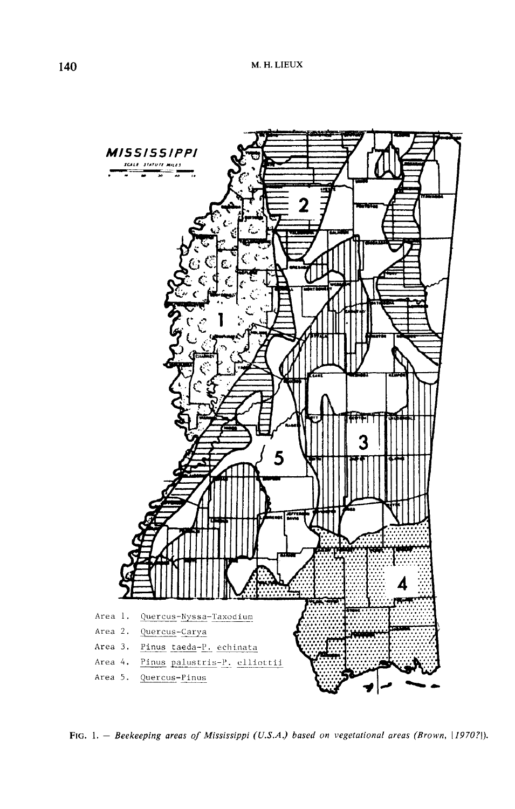

FIG. 1. - Beekeeping areas of Mississippi (U.S.A.) based on vegetational areas (Brown, [1970?]).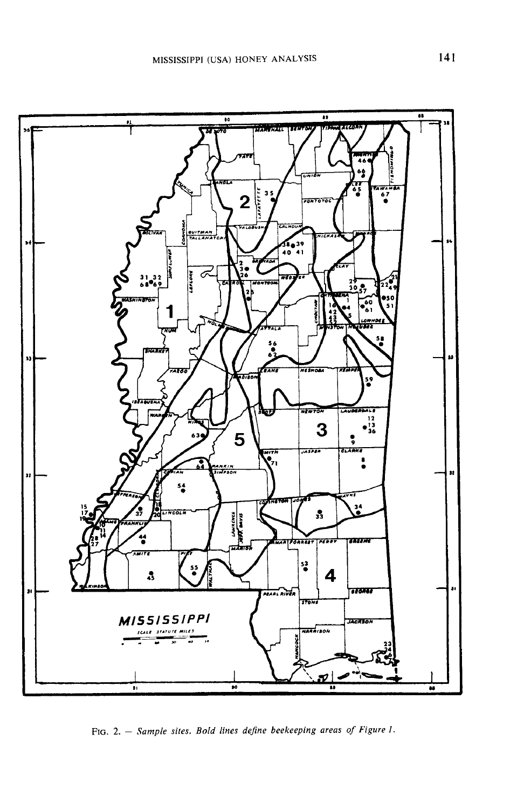

FIG. 2. - Sample sites. Bold lines define beekeeping areas of Figure 1.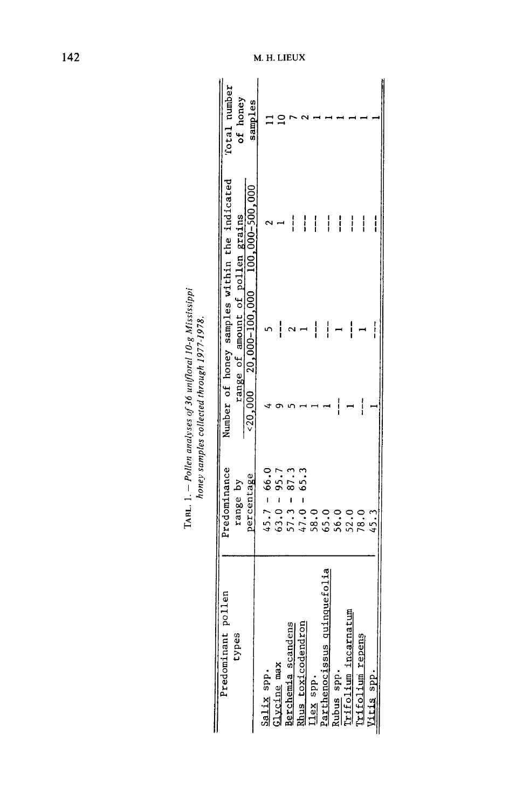| Predominant pollen                    | Predominance                                    |   |                                  | Number of honey samples within the indicated   | Total number |
|---------------------------------------|-------------------------------------------------|---|----------------------------------|------------------------------------------------|--------------|
| types                                 | range by                                        |   | range of amount of pollen grains |                                                | of honey     |
|                                       | percentage                                      |   |                                  | $\times 20,000$ 20,000-100,000 100,000-500,000 | samples      |
| Salix spp.                            | $45.7 - 66.0$                                   |   |                                  |                                                |              |
|                                       |                                                 |   |                                  |                                                |              |
| slycine max                           |                                                 |   | ן<br> <br>                       |                                                |              |
| Berchemia scandens                    |                                                 |   |                                  | i                                              |              |
| Rhus toxicodendron                    | $63.0 - 95.7$<br>$57.3 - 87.3$<br>$47.0 - 65.3$ |   |                                  | <br> <br>                                      |              |
| lex spp.                              |                                                 |   | ļ                                | ļ                                              |              |
| inquefolia<br>Parthenocissus qui      | 58.0<br>65.0                                    |   | י<br>ו                           | ļ                                              |              |
|                                       | 56.0                                            |   |                                  | $\mathop{!}\phantom{!}$                        |              |
| 팀<br>kubus spp.<br>Trifolium incarnat | 52.0                                            |   | i                                | ļ                                              |              |
| Prifolium repens                      | 78.0                                            | i |                                  | ļ                                              |              |
| <u>Vitis spp.</u>                     | 45.3                                            |   |                                  |                                                |              |
|                                       |                                                 |   |                                  |                                                |              |

TABL. 1. – Pollen analyses of 36 unifloral 10-g Mississippi<br>honey samples collected through 1977-1978.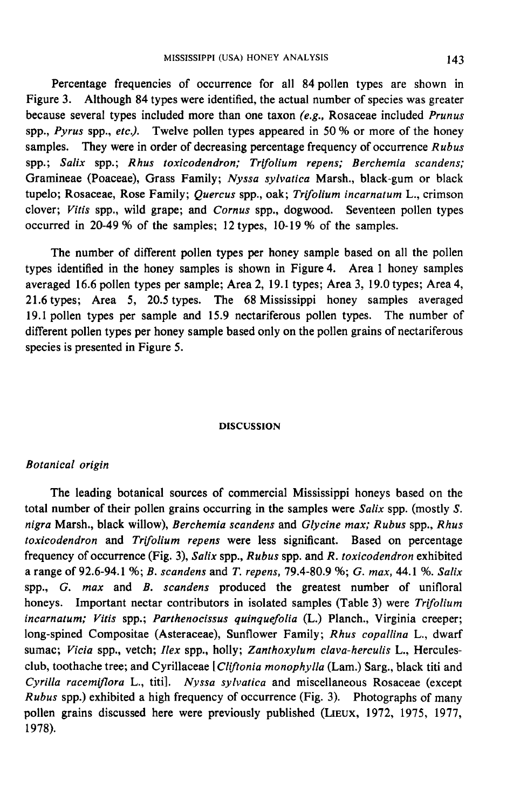Percentage frequencies of occurrence for all 84 pollen types are shown in Figure 3. Although 84 types were identified, the actual number of species was greater because several types included more than one taxon  $(e.g., Rosaceae included Prunus)$ spp., Pyrus spp., etc.). Twelve pollen types appeared in 50 % or more of the honey samples. They were in order of decreasing percentage frequency of occurrence Rubus spp.; Salix spp.; Rhus toxicodendron; Trifolium repens; Berchemia scandens; Gramineae (Poaceae), Grass Family; Nyssa sylvatica Marsh., black-gum or black tupelo; Rosaceae, Rose Family; Quercus spp., oak; Trifolium incarnatum L., crimson clover; Vitis spp., wild grape; and Cornus spp., dogwood. Seventeen pollen types occurred in 20-49 % of the samples; 12 types, 10-19 % of the samples.

The number of different pollen types per honey sample based on all the pollen types identified in the honey samples is shown in Figure 4. Area 1 honey samples averaged 16.6 pollen types per sample; Area 2, 19.1 types; Area 3, 19.0 types; Area 4, 21.6 types; Area 5, 20.5 types. The 68 Mississippi honey samples averaged 19.1 pollen types per sample and 15.9 nectariferous pollen types. The number of different pollen types per honey sample based only on the pollen grains of nectariferous species is presented in Figure 5.

## DISCUSSION

## **Botanical** origin

The leading botanical sources of commercial Mississippi honeys based on the total number of their pollen grains occurring in the samples were Salix spp. (mostly S. nigra Marsh., black willow), Berchemia scandens and Glycine max; Rubus spp., Rhus The leading botanical sources of commercial Mississippi honeys based on the<br>total number of their pollen grains occurring in the samples were *Salix* spp. (mostly *S*.<br>*nigra* Marsh., black willow), *Berchemia scandens* an frequency of occurrence (Fig. 3), Salix spp.,  $Rubus$  spp. and  $R$ . toxicodendron exhibited a range of 92.6-94.1 %; B. scandens and T. repens, 79.4-80.9 %; G. max, 44.1 %. Salix spp.,  $G.$  max and  $B.$  scandens produced the greatest number of unifloral honeys. Important nectar contributors in isolated samples (Table 3) were Trifolium incarnatum; Vitis spp.; Parthenocissus quinquefolia (L.) Planch., Virginia creeper; long-spined Compositae (Asteraceae), Sunflower Family; Rhus copallina L., dwarf sumac; Vicia spp., vetch; Ilex spp., holly; Zanthoxylum clava-herculis L., Herculesclub, toothache tree; and Cyrillaceae [Cliftonia monophylla (Lam.) Sarg., black titi and Cyrilla racemiflora L., titi]. Nyssa sylvatica and miscellaneous Rosaceae (except Rubus spp.) exhibited a high frequency of occurrence (Fig. 3). Photographs of many pollen grains discussed here were previously published (LIEUX, 1972, 1975, 1977, pollen grains discussed here were previously published (LIEUX, 1972, 1975, 1977, 1978). 1978).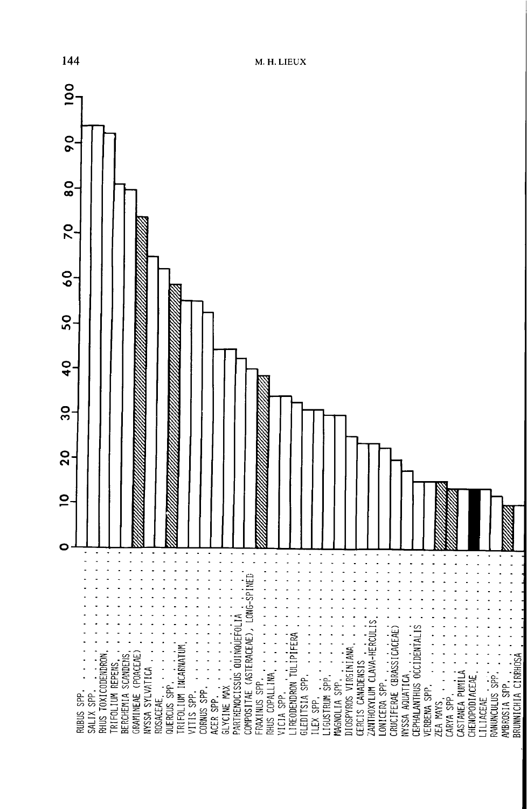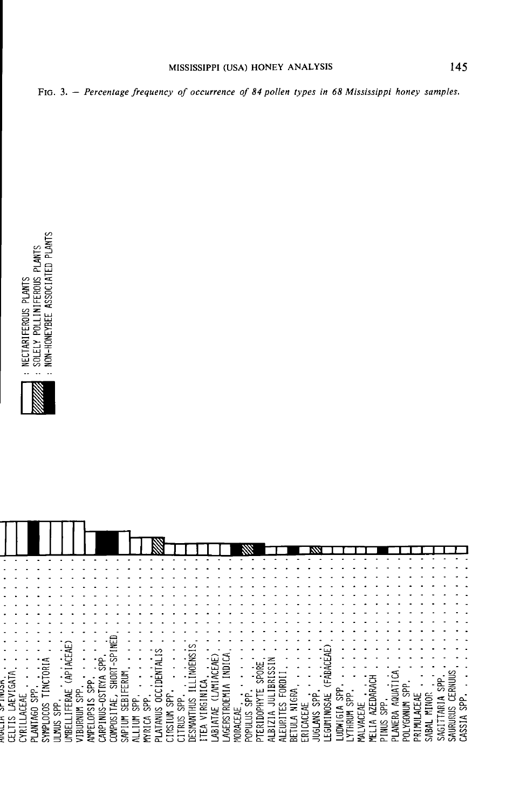# MISSISSIPPI (USA) HONEY ANALYSIS

FIG. 3. - Percentage frequency of occurrence of 84 pollen types in 68 Mississippi honey samples.



|         |             |             |              | CAPIACE   |                |            |            |   |        |           |                                |              |                | indens <sup>:</sup>                                        |                   |                          |             |               |                        |                |            |               |      |         |          |          |                |        |            |         |          |             |         |              |              |      |           |              |
|---------|-------------|-------------|--------------|-----------|----------------|------------|------------|---|--------|-----------|--------------------------------|--------------|----------------|------------------------------------------------------------|-------------------|--------------------------|-------------|---------------|------------------------|----------------|------------|---------------|------|---------|----------|----------|----------------|--------|------------|---------|----------|-------------|---------|--------------|--------------|------|-----------|--------------|
|         |             | CTORLA      |              |           |                |            | '윤         |   |        |           | ₹                              |              |                |                                                            |                   | -ਖ਼ੁ                     |             |               |                        |                |            |               |      |         |          |          |                |        |            |         |          |             |         |              |              |      |           |              |
|         |             |             |              |           |                |            |            |   |        |           | ENT                            |              |                |                                                            |                   |                          | <b>INDI</b> |               |                        | £              |            |               |      |         |          |          |                |        |            |         |          |             |         |              |              |      |           |              |
|         |             |             |              |           |                |            | 엻          |   | ERUM   |           |                                |              |                |                                                            |                   |                          |             |               |                        | $\sigma$       |            |               |      |         |          |          |                |        |            |         |          |             |         |              |              |      |           |              |
|         |             | Ξ           |              |           |                | es         |            |   |        |           |                                |              |                |                                                            |                   | <b>ANIACE</b>            | ⇐<br>⊷      |               |                        | ш              | <b>ER</b>  | <b>GRD</b>    |      |         |          |          |                |        |            |         |          |             | င်း     |              |              | 혽    | MUI       |              |
|         | 원<br>₹      |             |              | 닏<br>∝    | 운              |            |            |   |        |           | ຮ                              |              |                |                                                            | Ξ                 | ご                        | Ξ           |               |                        |                |            | ш.            |      |         |          | SAE      | ᇎ              |        |            |         |          | AQUAT       | ळ       |              |              | ⋖    | 핑         | $\Delta$     |
| AEVIGAT | $\sim$      |             |              |           | $\overline{c}$ |            |            | ⋜ | \$B    | 9q<br>င္တ |                                | ᄘ<br>ഄ       | 운              | ≣                                                          |                   |                          | TRO         |               | $\mathop{\mathrm{ss}}$ | <b>RIDOPHY</b> | 巪          | ES            | NIGI | 닞       | 읈        |          |                | င္တ    |            | AZEDARA |          |             |         | ACEAE        | MINOR        | ARI. | = ឆ្នូ ឆិ |              |
|         | Ę           | g           | င္တ          | EEI       |                |            |            |   |        |           | <b>TANUS</b>                   |              | $\overline{c}$ |                                                            | VIRG <sub>1</sub> | 头                        |             | ₩             |                        |                | ⊄          |               |      |         |          |          |                |        | ă          |         | ep<br>Sp | ¢           |         |              |              |      |           |              |
| s       |             | ā           |              |           |                | Ĕ          | ≣          |   | ξ      | ≧         |                                | <b>S</b>     |                | z                                                          |                   | ⊢<br>ä.                  | ò۵          |               |                        |                |            |               | c    |         | ЩS       |          |                |        | <b>DAC</b> |         |          |             |         |              |              |      |           | ⋖            |
|         | ANTAGO      |             |              |           |                |            |            | 홍 |        |           | ے                              | $\sim$<br>من | <b>TRUS</b>    | SMA                                                        | ¢                 | $\overline{\phantom{0}}$ | 蛋           |               |                        |                |            |               |      |         |          | EGUMINO3 | <b>A191MID</b> | YTHRUM |            | ≦       | SOMI     | <b>ANER</b> | LYGONUM |              |              |      |           | $\omega$     |
| 冥       | <b>LIBK</b> | <b>TANT</b> | <b>JLMUS</b> | <b>四图</b> | <b>UBURNU</b>  | <b>ANK</b> | <b>ARP</b> |   | Ildy's | Ξ         | ΝŅ<br>$\overline{\phantom{0}}$ | ÷<br>$\sim$  | $\overline{ }$ | ЮJ<br>$\overline{\phantom{0}}$<br>$\overline{\phantom{a}}$ | سا                | 쯩                        |             | <b>TORACI</b> | <b>Ifidoc</b>          | 쯭              | <u>آھل</u> | <b>NLEURI</b> | 距弧   | ERICACE | <b>S</b> |          |                |        | ₫          | ⋤       | $\sim$   | $\vec{r}$   | ಕ್ಷ     | <b>INITA</b> | <b>JABAL</b> | SAGI | SAUR      | $\mathbb{S}$ |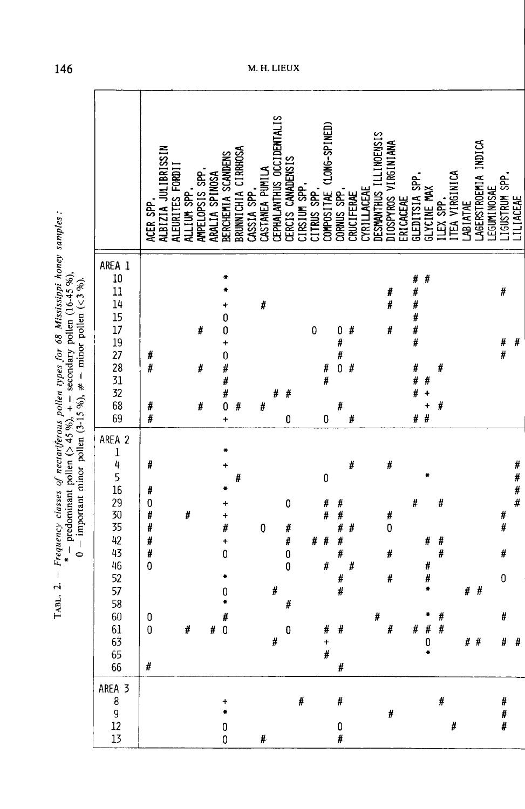|                                                    | ACER SPP.                                                                             | <b>ALBIZIA JULIBRISSIN</b><br>ALEURITES FORDI | ALLIUM SPP. | AMPELOPSIS SPP. | ARALIA SPINOSA | BERCHEMIA SCANDENS                                                 | BRUNNICHIA CIRRHOSA | CASSIA SPP. | CASTANEA PUMILA  | CEPHALANTHUS OCCIDENTALIS | CERCIS CANADENSIS                                                   | CIRSIUM SPP. | CITRUS SPP. | COMPOSITAE (LONG-SPINED)                                | CORNUS SPP.                  | CRUCIFERAE  | CYRILLACEAE | DESMANTHUS ILLINOENSIS | DIOSPYROS VIRGINIANA       | ERICACEAE | GLEDITSIA SPP.                                 | GLYCINE MAX                         | ILEX SPP.             | TEA VIRGINICA | LABIATAE | LAGERSTROEMIA INDICA | LEGUNINOSAE | IGUSTRUM SPP.                          | <b>ILIACEAE</b>  |
|----------------------------------------------------|---------------------------------------------------------------------------------------|-----------------------------------------------|-------------|-----------------|----------------|--------------------------------------------------------------------|---------------------|-------------|------------------|---------------------------|---------------------------------------------------------------------|--------------|-------------|---------------------------------------------------------|------------------------------|-------------|-------------|------------------------|----------------------------|-----------|------------------------------------------------|-------------------------------------|-----------------------|---------------|----------|----------------------|-------------|----------------------------------------|------------------|
| AREA 1<br>10 11 14 15 17 19 27 28 31 32 68 69      | #<br>#<br>#<br>#                                                                      |                                               |             | #<br>#<br>#     |                | ۰<br>0<br>0<br>$\ddot{\phantom{1}}$<br>0###0<br>$\ddot{}$          | #                   |             | #<br>#           | #                         | #<br>0                                                              |              | 0           | #<br>#<br>0                                             | $\bf{0}$<br>#<br>#<br>0<br># | #<br>#<br># |             |                        | #<br>#<br>#                |           | #<br>#<br>#<br>#<br>#<br>#<br>#<br>#<br>#<br># | #<br>#<br>$\ddot{\phantom{1}}$<br># | #<br>#                |               |          |                      |             | #<br>#<br>#                            | #                |
| AREA 2<br>1451929335424525758661<br>63<br>65<br>66 | #<br>#<br>$\mathbf{0}$<br>#<br>#<br>#<br>#<br>$\mathbf 0$<br>0<br>$\overline{0}$<br># |                                               | #<br>#      |                 | #              | +<br>#<br>×<br>0<br>0<br>÷<br>$\begin{matrix} 1 \\ 0 \end{matrix}$ | #                   |             | $\boldsymbol{0}$ | #<br>#                    | 0<br>#<br>#<br>$\bf{0}$<br>$\mathbf{0}$<br>$\sharp$<br>$\mathbf{0}$ |              | #           | 0<br>#<br>#<br>#<br>#<br>#<br>$\ddot{\phantom{1}}$<br># | 并并并并并<br>#<br>#<br>#<br>$\#$ | #<br>#<br># |             | #                      | Ħ<br>#<br>0<br>#<br>#<br># |           | #<br>#                                         | #<br>#<br>#<br>#<br>0               | #<br>Ħ<br>#<br>#<br># |               | #        | #<br># #             |             | #<br>#<br>#<br>$\pmb{0}$<br>#<br>$#$ # | #<br>#<br>#<br># |
| AREA 3<br>8<br>9<br>$12\,$<br>13                   |                                                                                       |                                               |             |                 |                | $\ddot{}$<br>×<br>0<br>0                                           |                     |             | #                |                           |                                                                     | #            |             |                                                         | #<br>0<br>#                  |             |             |                        | #                          |           |                                                |                                     | #                     | #             |          |                      |             | #<br>#<br>#                            |                  |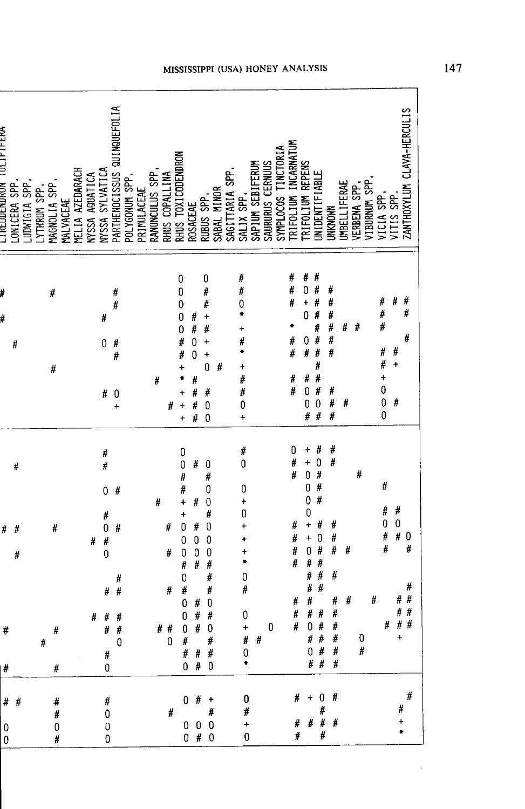| CIKEODENDKOM TOLIFIFEKA | LONICERA SPP | LUDWIGIA SPP | <b>YTHRUM SPP</b> | MAGNOLIA SPI             | MALVACEAE | MELIA AZEDARACH | NYSSA AQUATICA | NYSSA SYLVATICA                                                                      | PARTHENOCISSUS QUINQUEFOLIA     | POLYGONUM SPP. | PRIMULACEAE | RANUNCULUS SPP. | RHUS COPALLINA        | RHUS TOXICODENDRON                                                                   | ROSACEAE                                       | RUBUS SPP.                                                                                                        | SABAL MINOR | SAGITTARIA SPP | SALIX SPP.                                                                                             | SAPIUM SEBIFERUM | SAURURUS CERNUUS | TINCTORIA<br>SYMPLOCOS | INCARNATUM<br><b>RIFOLIUM</b>        | RIFOLIUM REPENS                                                                                                | UNIDENTIFIABI                                                                     | <b>UNKNOWN</b>                                                                                                                                                                                                                                                                                                                                           | <b><i>MBELLIFERAE</i></b> | VERBENA SPP | VIBURNUM SPP | VICIA SPP,                                                              | VITIS SPP                               | ZANTHOXYLUM CLAVA-HERCULIS                   |  |
|-------------------------|--------------|--------------|-------------------|--------------------------|-----------|-----------------|----------------|--------------------------------------------------------------------------------------|---------------------------------|----------------|-------------|-----------------|-----------------------|--------------------------------------------------------------------------------------|------------------------------------------------|-------------------------------------------------------------------------------------------------------------------|-------------|----------------|--------------------------------------------------------------------------------------------------------|------------------|------------------|------------------------|--------------------------------------|----------------------------------------------------------------------------------------------------------------|-----------------------------------------------------------------------------------|----------------------------------------------------------------------------------------------------------------------------------------------------------------------------------------------------------------------------------------------------------------------------------------------------------------------------------------------------------|---------------------------|-------------|--------------|-------------------------------------------------------------------------|-----------------------------------------|----------------------------------------------|--|
|                         | #            |              |                   | #<br>#                   |           |                 |                | #<br>0<br>#                                                                          | #<br>Ħ<br>#<br>#<br>0<br>÷      |                |             | #               | #                     | 0<br>0<br>0<br>0<br>O<br>#<br>#                                                      | #<br>#<br>0<br>0<br>Ħ<br>#<br>#<br>#           | $\mathbf{0}$<br>#<br>Ħ<br>$\ddot{}$<br>#<br>+<br>÷<br>0<br>#<br>0<br>$\overline{0}$                               | #           |                | #<br>#<br>0<br>÷<br>#<br>×<br>$\ddot{}$<br>#<br>Ħ<br>0<br>÷                                            |                  |                  |                        | #<br>#<br>#<br>#<br>#<br>Ħ<br>#      | #<br>0<br>$\ddot{}$<br>0<br>0<br>#<br>$\sharp$<br>0<br>0<br>#                                                  | #<br>$\sharp$<br>#<br>#<br>#<br>#<br>#<br>#<br>#<br>#<br>$\ddot{\mathbf{0}}$<br># | #<br>#<br>#<br>#<br>#<br>#<br>#<br>#<br>#                                                                                                                                                                                                                                                                                                                | #<br>#                    | #           |              | #<br>#<br>#<br>#<br>Ħ<br>$\ddot{}$<br>$\begin{matrix}0\0\0\end{matrix}$ | #<br>#<br>+<br>#                        | #<br>#<br>#                                  |  |
| #<br>#                  | #<br>#<br>#  |              | #                 | #<br>#                   |           |                 | #<br>#         | #<br>#<br>$\mathbf 0$<br>Ħ<br>$\mathbf 0$<br>#<br>$\overline{0}$<br>#<br>#<br>#<br># | #<br>#<br>#<br>#<br>#<br>#<br>0 |                |             | #<br>#          | #<br>#<br>#<br>#<br>0 | 0<br>0<br>#<br>#<br>+<br>0<br>0<br>0<br>#<br>$\mathbf{0}$<br>#<br>0<br>$\bf{0}$<br>0 | #<br>#<br>#<br>0<br>0<br>#<br>#<br>#<br>#<br># | 0<br>#<br>0<br>$\mathbf{0}$<br>Ħ<br>0<br>0<br>0<br>#<br>#<br>#<br>$\mathbf{0}$<br>#<br>$\mathbf{0}$<br>#<br># # # |             |                | #<br>$\mathbf 0$<br>0<br>$\ddot{}$<br>0<br>t<br>+<br>÷<br>۰<br>0<br>#<br>$\mathbf 0$<br>$\ddot{}$<br>0 | # #              | 0                |                        | 0<br>#<br>#<br>#<br># # #<br>#<br>## | +<br>$\ddot{}$<br>$\mathbf{0}$<br>$\mathbf{0}$<br>$\mathbf{0}$<br>0<br>÷<br>$\ddot{}$<br>0<br>#<br>#<br>#<br># | Ħ<br>$\mathbf 0$<br>#<br>#<br>#<br>Ħ<br>$\mathbf{0}$<br>#<br>#<br>#<br>#          | #<br>#<br>Ħ<br>$\sharp$<br>#<br>#<br>$\begin{array}{cc} 2 & 4 & 4 \\ 4 & 4 & 4 \\ 3 & 4 & 4 \\ 4 & 4 & 4 \\ 5 & 4 & 4 \\ 6 & 4 & 4 \\ 7 & 8 & 1 \\ 8 & 10 & 10 \\ 10 & 10 & 10 \\ 11 & 11 & 10 \\ 12 & 12 & 10 \\ 13 & 13 & 10 \\ 14 & 14 & 11 \\ 15 & 12 & 10 & 10 \\ 16 & 10 & 10 & 10 \\ 17 & 11 & 10 & 10 \\ 18 & 11 & 10 & 10 \\ 19 & 11 & 10 & 10$ | #<br>#                    | #<br>U<br># | #            | Ħ<br>#<br>$\mathbf{0}$<br>#<br>#<br>#                                   | #<br>$\overline{0}$<br>#<br>#<br>Ħ<br># | $\boldsymbol{0}$<br>#<br>#<br>#<br>$\#$<br># |  |
| #<br>0<br>0             | # #          |              |                   | $\#$<br>#<br>#<br>0<br># |           |                 |                | $\pmb{0}$<br>#<br>0<br>$\bf 0$<br>0                                                  |                                 |                |             |                 |                       | #                                                                                    |                                                | 0# 0<br>$0$ # +<br>#<br>$\begin{matrix} 0 & 0 & 0 \end{matrix}$<br>0#0                                            |             |                | $\bullet$<br>0<br>#<br>$\ddot{\phantom{1}}$<br>0                                                       |                  |                  |                        | $\#$<br>#                            |                                                                                                                | $\#$<br>#                                                                         | $# + 0  #$<br>#  #  #                                                                                                                                                                                                                                                                                                                                    |                           |             |              |                                                                         |                                         | #<br>#<br>$\frac{+}{+}$                      |  |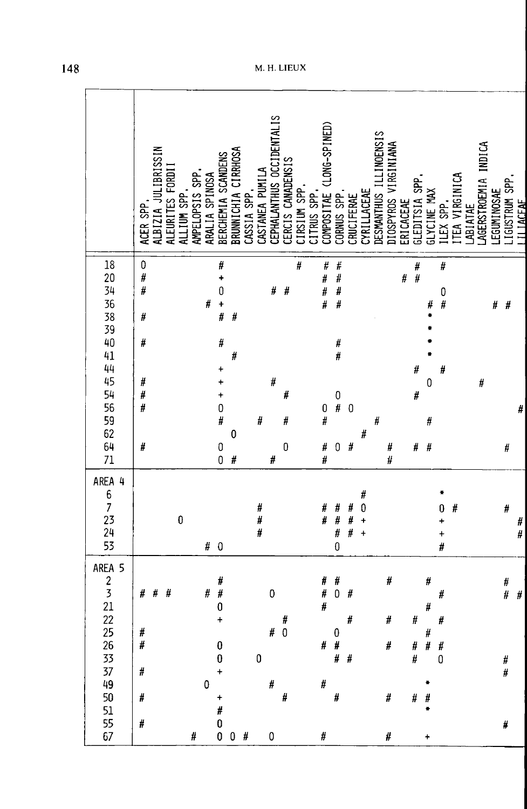|                                               | ACER SPP.               | ALBIZIA JULIBRISSIN | ALEURITES FORDI | ALLIUM SPP. | AMPELOPSIS SPP. | ARALIA SPINOSA | BERCHEMIA SCANDENS                                      | BRUNNICHIA CIRRHOSA | CASSIA SPP. | CASTANEA PUMILA | CEPHALANTHUS OCCIDENTALIS | CERCIS CANADENSIS | CIRSIUM SPP. | CITRUS SPP. | COMPOSITAE (LONG-SPINED) | CORNUS SPP.                                             | CRUCIFERAE     | CYRILLACEAE                                            | DESMANTHUS ILLINOENSIS | DIOSPYROS VIRGINIANA | ERICACEAE | GLEDITSIA SPP. | GLYCINE MAX    | ILEX SPP.                         | TEA VIRGINICA | LABIATAE | AGERSTROEMIA INDICA | <b>EGUMINOSAE</b> | .IGUSTRUM SPP.  | <b>TI TACEAE</b> |
|-----------------------------------------------|-------------------------|---------------------|-----------------|-------------|-----------------|----------------|---------------------------------------------------------|---------------------|-------------|-----------------|---------------------------|-------------------|--------------|-------------|--------------------------|---------------------------------------------------------|----------------|--------------------------------------------------------|------------------------|----------------------|-----------|----------------|----------------|-----------------------------------|---------------|----------|---------------------|-------------------|-----------------|------------------|
| 18                                            | $\bf{0}$<br>#<br>#<br># |                     |                 |             |                 | #              | #<br>$\ddot{}$<br>0<br>$\frac{+}{\#}$                   | #                   |             |                 | #                         | #                 | #            |             | Ħ<br>#<br>#<br>#         | ####                                                    |                |                                                        |                        |                      | #         | # $\#$         | #              | #<br>0<br>#                       |               |          |                     | #                 | $\#$            |                  |
| 20 34 36 38 39 40 41 44 45 54 56 59 62 64 71  | #<br>#<br>#<br>#        |                     |                 |             |                 |                | #<br>$\ddot{}$<br>$\ddot{}$<br>$\ddot{}$<br>$\mathbf 0$ | #                   |             |                 | #                         | #                 |              |             | $0\\$ #                  | #<br>#<br>$\begin{smallmatrix}0\\0\\4\end{smallmatrix}$ | $\overline{0}$ |                                                        |                        |                      |           | #<br>#         | $\mathbf 0$    | #                                 |               |          | #                   |                   |                 | #                |
|                                               | #                       |                     |                 |             |                 |                | #<br>$0\atop 0$                                         | 0<br>#              |             | #               | #                         | #<br>0            |              |             | #<br>#                   | $\pmb{0}$                                               | $\frac{1}{H}$  | #                                                      | #                      | #<br>#               |           | $\#$           | #<br>#         |                                   |               |          |                     |                   | #               |                  |
| AREA 4<br>6<br>7<br>23<br>24<br>53            |                         |                     |                 | 0           |                 | #              | $\pmb{0}$                                               |                     |             | #<br>#<br>#     |                           |                   |              |             | #<br>#                   | #<br>#<br>#<br>$\overline{0}$                           | #<br>#<br>#    | #<br>$\mathbf{0}$<br>$\ddot{\phantom{1}}$<br>$\ddot{}$ |                        |                      |           |                |                | 0<br>$\ddot{}$<br>$\ddagger$<br># | $\#$          |          |                     |                   | #               | Ħ,<br>#          |
| 5<br>AREA<br>$\frac{2}{3}$<br>$\frac{21}{22}$ | #                       | $\#$                | #               |             |                 | #              | #<br>#<br>0<br>÷                                        |                     |             |                 | $\mathbf 0$               | $\#$              |              |             | #<br>#<br>#              | #<br>0                                                  | $\#$<br>#      |                                                        |                        | #<br>#               |           | #              | $\#$<br>#      | #<br>#                            |               |          |                     |                   | $\frac{\#}{\#}$ | #                |
| 25<br>26<br>33<br>37<br>49<br>50              | #<br>$\#$<br>$\#$<br>#  |                     |                 |             |                 | $\pmb{0}$      | 0<br>$\pmb{0}$<br>$\ddot{}$<br>$\ddot{}$                |                     |             | $\pmb{0}$       | # 0<br>$\#$               | #                 |              |             | #<br>#                   | $\bf{0}$<br>$\#$<br># $#$<br>#                          |                |                                                        |                        | #<br>#               |           | #<br>#<br>#    | $\#$<br>#<br># | $\#$<br>0                         |               |          |                     |                   | #<br>#          |                  |
| 51<br>55<br>67                                | #                       |                     |                 |             | #               |                | #<br>$\pmb{0}$                                          | $0 \t0 \t#$         |             |                 | 0                         |                   |              |             | #                        |                                                         |                |                                                        |                        | #                    |           |                | $\ddot{}$      |                                   |               |          |                     |                   | #               |                  |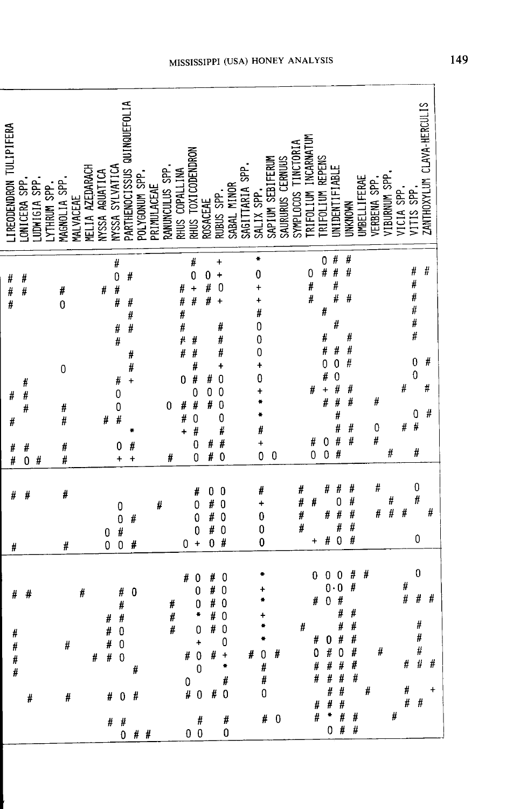| IREODENDRON TULIPIFERA | ONICERA SPP.          | JUNIGIA SPP. | YTHRUM SPP. | MAGNOLIA SPP          | MALVACEAE | MELIA AZEDARACH | NYSSA AQUATICA | NYSSA SYLVATICA                       | PARTHENOCISSUS QUINQUEFOLIA                  | POLYGONUM SPP. | PRIMULACEAE | RANUNCULUS SPP. | RHUS COPALLINA              | RHUS TOXICODENDRON                                                                                                               | <b>ROSACEAE</b>               | RUBUS SPP.                                                                                                     | SABAL MINOR | SAGITTARIA SPP | SALIX SPP.                                       | SAPIUM SEBIFERUM<br>SAURURUS CERNUS | SYMPLOCOS TINCTORIA | INCARNATUM<br>TRIFOLIUM | TRIFOLIUM REPENS              |                                                                            | <b>JNIDENTIFIABLE</b>                          | UNKNOWN                                                                                                                                                         | <b>UMBELLIFERAE</b> | VERBENA SPP. | VIBURNUM SPP    | VICIA SPP. | VITIS SPP                                            | ZANTHOXYLUM CLAVA-HERCULIS |
|------------------------|-----------------------|--------------|-------------|-----------------------|-----------|-----------------|----------------|---------------------------------------|----------------------------------------------|----------------|-------------|-----------------|-----------------------------|----------------------------------------------------------------------------------------------------------------------------------|-------------------------------|----------------------------------------------------------------------------------------------------------------|-------------|----------------|--------------------------------------------------|-------------------------------------|---------------------|-------------------------|-------------------------------|----------------------------------------------------------------------------|------------------------------------------------|-----------------------------------------------------------------------------------------------------------------------------------------------------------------|---------------------|--------------|-----------------|------------|------------------------------------------------------|----------------------------|
| #<br>#<br>#            | #<br>#                |              |             | #<br>0                |           |                 | #              | #<br>$\mathbf{0}$<br>#<br>#<br>#<br># | #<br>#<br>#<br>#<br>#                        |                |             |                 | #<br>#<br>#<br>#<br>įł<br># | #<br>0<br>$\ddot{}$<br>#<br>#<br>#                                                                                               | $\boldsymbol{0}$<br>#<br>#    | $\ddot{}$<br>$\ddot{}$<br>0<br>$\ddot{\phantom{1}}$<br>#<br>#<br>#                                             |             |                | ۰<br>0<br>t<br>÷<br>Ħ<br>0<br>0<br>0             |                                     |                     | 0<br>#                  |                               | 0<br>#<br>#<br>#<br>#                                                      | #<br>#<br>#<br>#<br>#<br>#                     | #<br>#<br>#<br>#<br>#                                                                                                                                           |                     |              |                 |            | #<br>#<br>#<br>#<br>#<br>#                           | #<br>#                     |
| #<br>#<br>#<br>#       | #<br>#<br>#<br>#<br>0 | #            |             | 0<br>#<br>#<br>#<br># |           |                 | #              | Ħ<br>0<br>0<br>Ħ<br>0<br>$\ddot{}$    | #<br>$\ddot{}$<br>#<br>÷                     |                |             | 0<br>#          | 0<br>#<br>$\#$<br>÷         | #<br>Ħ<br>0<br>#<br>0<br>#<br>0<br>0                                                                                             | #<br>0<br>#<br>Ħ<br>#         | $\ddot{}$<br>0<br>0<br>$\mathbf{0}$<br>0<br>Ħ<br>#<br>0                                                        |             |                | $\ddagger$<br>0<br>+<br>Ħ<br>$\ddot{}$<br>0      | 0                                   |                     |                         | #<br>#<br>$\ddot{\mathbf{0}}$ | $\mathbf 0$<br>#<br>$\ddot{}$<br>#<br>$\begin{matrix} 0 \\ 0 \end{matrix}$ | $\mathbf 0$<br>0<br>#<br>#<br>#<br>#<br>#<br># | #<br>#<br>#<br>∦<br>#                                                                                                                                           |                     | #<br>0<br>#  | #               | #<br>#     | 0<br>0<br>0<br>$\sharp$<br>#                         | #<br>#                     |
| #<br>#                 | #                     |              |             | #<br>#                |           |                 | 0<br>0         | 0<br>0<br>#                           | #<br>0<br>#                                  |                | #           |                 | 0                           | #<br>0<br>0<br>0<br>$\ddot{}$                                                                                                    | 0<br>#<br>#<br>#<br>0         | 0<br>0<br>$\mathbf{0}$<br>0<br>#                                                                               |             |                | #<br>$\ddag$<br>$\mathbf 0$<br>$\mathbf{0}$<br>0 |                                     |                     | #<br>#<br>#<br>#        | #<br>$\ddot{}$                | #<br>#<br>#                                                                | #<br>0<br>$\sharp$<br>#<br>$\overline{0}$      | #<br>#<br>#<br>#<br>#                                                                                                                                           |                     | #<br>#       | $\frac{\#}{\#}$ | #          | $\bf{0}$<br>$\#$<br>$\pmb{0}$                        | #                          |
| #<br># # # #           | #                     | #            |             | $\#$<br>$\#$          |           | #               | #  # 0         | #<br># 0<br># 0                       | #<br>0<br>#<br>#<br># 0 #<br>#  #<br>$0$ # # | #              |             | #<br>#<br>#     | #                           | 0<br>0<br>0<br>¥<br>$\overline{\phantom{0}}$<br>$\ddot{\phantom{1}}$<br>$\mathbf 0$<br>$0 -$<br>$\# 0$<br>$\#$<br>0 <sub>0</sub> | #<br>#<br>#<br>#<br># $0$ # + | $\boldsymbol{0}$<br>$\mathbf 0$<br>$\bf{0}$<br>$\mathbf{0}$<br># 0<br>$\bf{0}$<br>÷<br>$\#$<br># $0$<br>#<br>0 |             |                | ۰<br>$\#$ 0 $\#$<br># $#$<br>0                   | # 0                                 |                     | #                       | 0<br>#<br>0                   | 0<br>0<br>$\mathbf{0}$                                                     | 0<br>0<br>Ħ<br>H<br>#                          | #<br>#<br>#<br>#<br># 0 # #<br># $0$ #<br>$\begin{array}{cccc} \# & \# & \# & \# \\ \# & \# & \# & \# \\ \end{array}$<br>$#$ #<br># # #<br>$\#$ * $\#$ #<br>0## | #<br>$\#$           | #            | #               | #<br>#     | 0<br>#<br>#<br>$\#$<br>$\#$<br>#  #  #<br>#<br>$#$ # | #<br>$\ddot{}$             |

ׇ֚֬֓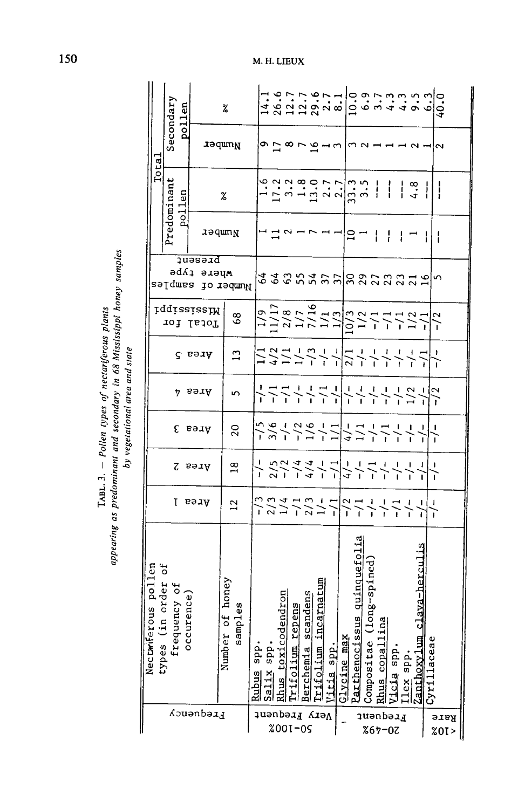|                            | ous pollen<br>Nectarifer                  |         |                                   |      |        |                                                                                                 |                          |                              |               |                                                                                                                                                                                                                                                                                                                     |               |                                                                                                                                                                                                                                                                                 |
|----------------------------|-------------------------------------------|---------|-----------------------------------|------|--------|-------------------------------------------------------------------------------------------------|--------------------------|------------------------------|---------------|---------------------------------------------------------------------------------------------------------------------------------------------------------------------------------------------------------------------------------------------------------------------------------------------------------------------|---------------|---------------------------------------------------------------------------------------------------------------------------------------------------------------------------------------------------------------------------------------------------------------------------------|
|                            | types (in order                           |         |                                   |      |        |                                                                                                 |                          |                              |               | Total                                                                                                                                                                                                                                                                                                               |               |                                                                                                                                                                                                                                                                                 |
|                            | Ъp                                        |         |                                   |      |        |                                                                                                 |                          |                              |               | Predominant                                                                                                                                                                                                                                                                                                         |               | Secondary                                                                                                                                                                                                                                                                       |
|                            | ency of<br>frequ                          | τ       |                                   | ε    | 4      |                                                                                                 |                          | sərdwes                      |               |                                                                                                                                                                                                                                                                                                                     |               |                                                                                                                                                                                                                                                                                 |
|                            | rence)<br>occu                            |         |                                   |      |        |                                                                                                 |                          |                              |               | pollen                                                                                                                                                                                                                                                                                                              |               | pollen                                                                                                                                                                                                                                                                          |
| <b><i>Axedneuc</i></b>     |                                           | Area    | Area 2                            | Area | aeaA   | $\zeta$ ser $A$                                                                                 | iqqississiM<br>Total for | <b>Jueseid</b><br>Mhere type |               |                                                                                                                                                                                                                                                                                                                     |               |                                                                                                                                                                                                                                                                                 |
|                            | of honey<br>ples<br>sam<br>Number         | $^{12}$ | $\frac{8}{1}$                     | 20   | 5      | $\mathbf{r}$                                                                                    | 68                       | lo redmuk                    | laqwn         | $\%$                                                                                                                                                                                                                                                                                                                | aəqwnn        | %                                                                                                                                                                                                                                                                               |
|                            | spp<br>Runus                              |         |                                   |      |        |                                                                                                 |                          |                              |               |                                                                                                                                                                                                                                                                                                                     |               |                                                                                                                                                                                                                                                                                 |
|                            | Sa.                                       |         |                                   |      |        |                                                                                                 |                          |                              |               |                                                                                                                                                                                                                                                                                                                     |               |                                                                                                                                                                                                                                                                                 |
| <b>lrequent</b><br>%001-0S | Rhus toxicod<br>spp<br>$\frac{1}{1}x$     |         |                                   |      |        |                                                                                                 |                          |                              |               |                                                                                                                                                                                                                                                                                                                     |               |                                                                                                                                                                                                                                                                                 |
|                            | endron<br>tfolium                         |         |                                   |      |        |                                                                                                 |                          |                              |               |                                                                                                                                                                                                                                                                                                                     |               |                                                                                                                                                                                                                                                                                 |
|                            | <b>Pens</b><br>re<br>F                    |         |                                   |      |        |                                                                                                 |                          |                              |               |                                                                                                                                                                                                                                                                                                                     |               |                                                                                                                                                                                                                                                                                 |
| КιэΛ                       | andens<br>ن<br>9<br>Berchemia<br>rifolium |         |                                   |      |        |                                                                                                 |                          |                              |               |                                                                                                                                                                                                                                                                                                                     | すい87日         |                                                                                                                                                                                                                                                                                 |
|                            | carnatum<br>$\mathbf{H}$                  |         |                                   |      |        |                                                                                                 |                          |                              |               |                                                                                                                                                                                                                                                                                                                     |               |                                                                                                                                                                                                                                                                                 |
|                            | Vitis spp                                 |         |                                   |      |        |                                                                                                 |                          |                              |               |                                                                                                                                                                                                                                                                                                                     | ⊣ຕ∣           |                                                                                                                                                                                                                                                                                 |
|                            | Parthenociss<br>$Glycine$ max             |         | スーームー ニュートーーーー<br>  ハーニューニーーーーーーー |      |        | 1 3 1 1 m 1 1 1 1 1 1 1 1 1 1<br>  1 3 1 1 1 1 1 1 1 1 1 1 1 1 1<br>  4 1 1 1 1 1 1 1 1 1 1 1 1 |                          | なんのちみず辺辺のひひひひれ               | 그음            | $\frac{1}{2}$ $\frac{1}{2}$ $\frac{1}{2}$ $\frac{1}{2}$ $\frac{1}{2}$ $\frac{1}{2}$ $\frac{1}{2}$ $\frac{1}{2}$ $\frac{1}{2}$ $\frac{1}{2}$ $\frac{1}{2}$ $\frac{1}{2}$ $\frac{1}{2}$ $\frac{1}{2}$ $\frac{1}{2}$ $\frac{1}{2}$ $\frac{1}{2}$ $\frac{1}{2}$ $\frac{1}{2}$ $\frac{1}{2}$ $\frac{1}{2}$ $\frac{1}{2}$ |               |                                                                                                                                                                                                                                                                                 |
| <b>lrequent</b>            | <u>us quinquefolia</u>                    |         |                                   |      |        |                                                                                                 |                          |                              |               |                                                                                                                                                                                                                                                                                                                     | $\sim$ $\sim$ |                                                                                                                                                                                                                                                                                 |
|                            | .ong-spined)<br>Compositae                |         |                                   |      |        |                                                                                                 |                          |                              |               |                                                                                                                                                                                                                                                                                                                     |               |                                                                                                                                                                                                                                                                                 |
| $%67 - 07$                 | 몕<br>Rhus copalli                         |         |                                   |      |        |                                                                                                 |                          |                              | $\frac{1}{4}$ |                                                                                                                                                                                                                                                                                                                     |               |                                                                                                                                                                                                                                                                                 |
|                            | icia spp                                  |         |                                   |      |        |                                                                                                 |                          |                              |               |                                                                                                                                                                                                                                                                                                                     |               |                                                                                                                                                                                                                                                                                 |
|                            | Zanthoxy]<br>Ilex spp                     |         |                                   |      |        |                                                                                                 |                          |                              |               |                                                                                                                                                                                                                                                                                                                     |               |                                                                                                                                                                                                                                                                                 |
|                            | :lava-herculis                            |         |                                   |      |        |                                                                                                 |                          |                              |               |                                                                                                                                                                                                                                                                                                                     |               |                                                                                                                                                                                                                                                                                 |
| Rare<br>%0I>               | Cyrillaceae                               |         |                                   |      | $-1/2$ |                                                                                                 |                          |                              |               | $\frac{1}{1}$                                                                                                                                                                                                                                                                                                       |               | $\begin{array}{l} 1.4.7 & 0.0000 \\ 1.4.7 & 0.0000 \\ 1.4.7 & 0.0000 \\ 0.0000 & 0.0000 \\ 0.0000 & 0.0000 \\ 0.0000 & 0.0000 \\ 0.0000 & 0.0000 \\ 0.0000 & 0.0000 \\ 0.0000 & 0.0000 \\ 0.0000 & 0.0000 \\ 0.0000 & 0.0000 \\ 0.0000 & 0.0000 \\ 0.0000 & 0.0000 \\ 0.0000 &$ |
|                            |                                           |         |                                   |      |        |                                                                                                 |                          |                              |               |                                                                                                                                                                                                                                                                                                                     |               |                                                                                                                                                                                                                                                                                 |
|                            |                                           |         |                                   |      |        |                                                                                                 |                          |                              |               |                                                                                                                                                                                                                                                                                                                     |               |                                                                                                                                                                                                                                                                                 |

# M. H. LIEUX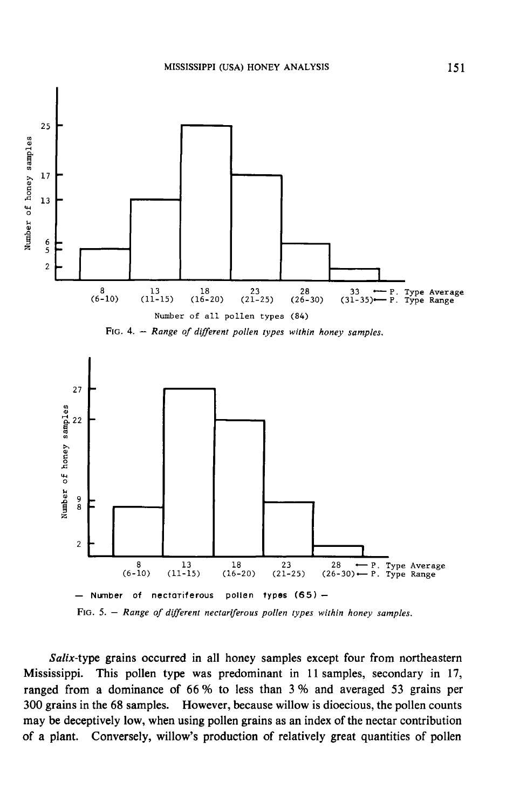

Salix-type grains occurred in all honey samples except four from northeastern Mississippi. This pollen type was predominant in 11 samples, secondary in 17, ranged from a dominance of 66 % to less than 3 % and averaged 53 grains per 300 grains in the 68 samples. However, because willow is dioecious, the pollen counts may be deceptively low, when using pollen grains as an index of the nectar contribution of a plant. Conversely, willow's production of relatively great quantities of pollen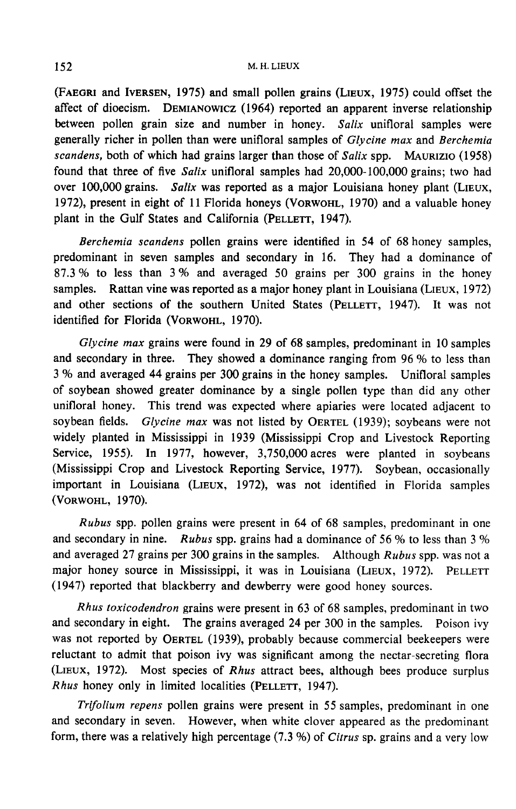M. H. LIEUX<br>(FAEGRI and IVERSEN, 1975) and small pollen grains (LIEUX, 1975) could offset the<br>affect of dioecism. DEMIANOWICZ (1964) reported an apparent inverse relationship M. H. LIEUX<br>
(FAEGRI and IVERSEN, 1975) and small pollen grains (LIEUX, 1975) could offset the<br>
affect of dioecism. DEMIANOWICZ (1964) reported an apparent inverse relationship<br>
between pollen grain size and number in hone generally richer in pollen than were unifloral samples of Glycine max and Berchemia SCALE 152<br>
SCALE 152<br>
SCALE 152<br>
SCALE 152<br>
SCALE 152<br>
SCALE 152<br>
SCALE 152<br>
SCALE 152<br>
SCALE 152<br>
SCALE 152<br>
SCALE 173<br>
SCALE 174<br>
SCALE 174<br>
SCALE 174<br>
SCALE 174<br>
SCALE 174<br>
SCALE 174<br>
SCALE 174<br>
SCALE 174<br>
SCALE 174<br>
S found that three of five Salix unifloral samples had 20,000-100,000 grains; two had over 100,000 grains. Salix was reported as a major Louisiana honey plant (LIEUX, generally richer in pollen than were unifloral samples of *Glycine max* and *Berchemia* scandens, both of which had grains larger than those of *Salix* spp. MAURIZIO (1958) found that three of five *Salix* unifloral sample plant in the Gulf States and California (PELLETT, 1947).<br>
Parchamic scandars and California (PELLETT, 1947).<br>
Parchamic scandars poller graps were identified in

Berchemia scandens pollen grains were identified in 54 of 68 honey samples, predominant in seven samples and secondary in 16. They had a dominance of 87.3 % to less than 3 % and averaged 50 grains per 300 grains in the honey samples. Rattan vine was reported as a major honey plant in Louisiana (LI 87.3 % to less than 3 % and averaged 50 grains per 300 grains in the honey samples. Rattan vine was reported as a major honey plant in Louisiana (LIEUX, 1972)

Glycine max grains were found in 29 of 68 samples, predominant in 10 samples and secondary in three. They showed a dominance ranging from 96 % to less than 3 % and averaged 44 grains per 300 grains in the honey samples. Unifloral samples of soybean showed greater dominance by a single pollen type than did any other unifloral honey. This trend was expected where apiaries were located adjacent to s yo and averaged 44 grains per 300 grains in the noney samples. Unitioral samples<br>of soybean showed greater dominance by a single pollen type than did any other<br>unifloral honey. This trend was expected where apiaries were widely planted in Mississippi in 1939 (Mississippi Crop and Livestock Reporting Service, 1955). In 1977, however, 3,750,000 acres were planted in soybeans<br>(Mississippi Crop and Livestock Reporting Service, 1977). Soybean, occasionally<br>important in Louisiana (LIEUX, 1972), was not identified in Florida (Mississippi Crop and Livestock Reporting Service, 1977). Soybean, occasionally important in Louisiana (LIEUX, 1972), was not identified in Florida samples widely planted in Mis<br>Service, 1955). In<br>(Mississippi Crop and<br>important in Louisia<br>(VORWOHL, 1970).<br>Rubus spp. poller

Rubus spp. pollen grains were present in 64 of 68 samples, predominant in one and secondary in nine. Rubus spp. grains had a dominance of 56 % to less than 3 % and averaged 27 grains per 300 grains in the samples. Although  $Rubus$  spp. was not a major honey source in Mississippi, it was in Louisiana (LIEUX, 1972). PELLETT (1947) reported that blackberry and dewberry were good honey sources.

Rhus toxicodendron grains were present in 63 of 68 samples, predominant in two and secondary in eight. The grains averaged 24 per 300 in the samples. Poison ivy was not reported by OERTEL (1939), probably because commercial beekeepers were reluctant to admit that poison ivy was significant among the nectar-secreting flora (LiEux, 1972). Most species of Rhus attract bees, although bees produce surplus max secondary in eighth. The grains averaged 21 per 500 is<br>was not reported by OERTEL (1939), probably because coreluctant to admit that poison ivy was significant among<br>(LIEUX, 1972). Most species of *Rhus* attract bees,

Trifolium repens pollen grains were present in 55 samples, predominant in one and secondary in seven. However, when white clover appeared as the predominant form, there was a relatively high percentage (7.3 %) of Citrus sp. grains and a very low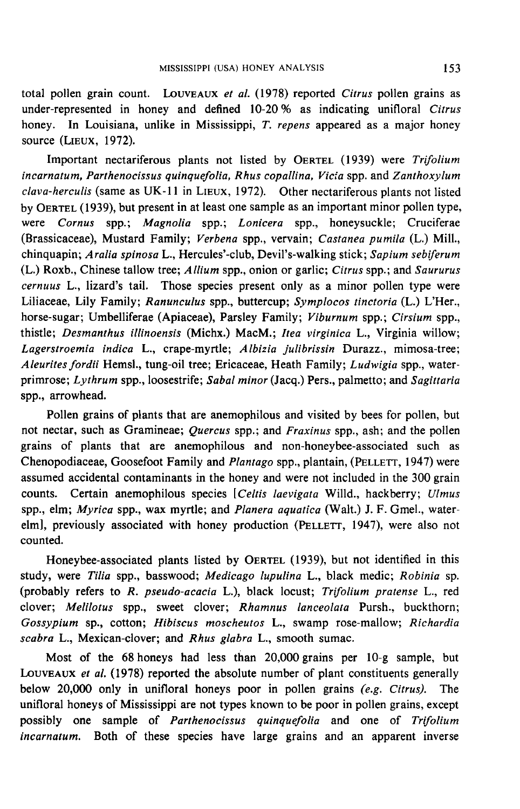total pollen grain count. LOUVEAUX et al. (1978) reported Citrus pollen grains as under-represented in honey and defined 10-20 % as indicating unifloral Citrus honey. In Louisiana, unlike in Mississippi, T. repens appeared as a major honey source from gram contrained in<br>honey. In Louisiana<br>source (LIEUX, 1972). Impositive in honey and dominant 10.20% as individually antibiant out as<br>
Important nectariferous plants not listed by OERTEL (1939) were Trifolium<br>
Important nectariferous plants not listed by OERTEL (1939) were Trifolium

incarnatum, Parthenocissus quinquefolia, Rhus copallina, Vicia spp. and Zanthoxylum Important nectariferous plants not listed by OERTEL (1939) were *Trifolium*<br>incarnatum, Parthenocissus quinquefolia, Rhus copallina, Vicia spp. and Zanthoxylum<br>clava-herculis (same as UK-11 in LIEUX, 1972). Other nectarife were Cornus spp.; Magnolia spp.; Lonicera spp., honeysuckle; Cruciferae (Brassicaceae), Mustard Family; Verbena spp., vervain; Castanea pumila (L.) Mill., chinquapin; Aralia spinosa L., Hercules'-club, Devil's-walking stick; Sapium sebiferum (L.) Roxb., Chinese tallow tree; Allium spp., onion or garlic; Citrus spp.; and Saururus cernuus L., lizard's tail. Those species present only as a minor pollen type were Liliaceae, Lily Family; Ranunculus spp., buttercup; Symplocos tinctoria (L.) L'Her., horse-sugar; Umbelliferae (Apiaceae), Parsley Family; Viburnum spp.; Cirsium spp., thistle; Desmanthus illinoensis (Michx.) MacM.; Itea virginica L., Virginia willow; Lagerstroemia indica L., crape-myrtle; Albizia julibrissin Durazz., mimosa-tree; Aleurites fordii Hemsl., tung-oil tree; Ericaceae, Heath Family; Ludwigia spp., waterprimrose; Lythrum spp., loosestrife; Sabal minor (Jacq.) Pers., palmetto; and Sagittaria spp., arrowhead.

Pollen grains of plants that are anemophilous and visited by bees for pollen, but not nectar, such as Gramineae; Quercus spp.; and Fraxinus spp., ash; and the pollen grains of plants that are anemophilous and non-honeybee-associated such as Chenopodiaceae, Goosefoot Family and Plantago spp., plantain, (PELLETT , 1947) were assumed accidental contaminants in the honey and were not included in the 300 grain counts. Certain anemophilous species [Celtis laevigata Willd., hackberry; Ulmus spp., elm; Myrica spp., wax myrtle; and Planera aquatica (Walt.) J. F. Gmel., waterelm previously associated with honey and were not included in the 300 grain<br>counts. Certain anemophilous species [*Celtis laevigata* Willd., hackberry; *Ulmus*<br>spp., elm; *Myrica* spp., wax myrtle; and *Planera aquatica* ( counted. emit, *Hyrica spp.*, was hiytic, and *Tahera aquatica* (wan.) 3.1. Since, water<br>previously associated with honey production (PELLETT, 1947), were also not<br>ted.<br>Honeybee-associated plants listed by OERTEL (1939), but not id

study, were Tilia spp., basswood; Medicago lupulina L., black medic; Robinia sp. (probably refers to R. pseudo-acacia L.), black locust; Trifolium pratense L., red clover; Melilotus spp., sweet clover; Rhamnus lanceolata Pursh., buckthorn; Gossypium sp., cotton; Hibiscus moscheutos L., swamp rose-mallow; Richardia scabra L., Mexican-clover; and Rhus glabra L., smooth sumac.

Most of the 68 honeys had less than 20,000 grains per 10-g sample, but LOUVEAUX et al. (1978) reported the absolute number of plant constituents generally below 20,000 only in unifloral honeys poor in pollen grains (e.g. Citrus). The unifloral honeys of Mississippi are not types known to be poor in pollen grains, except possibly one sample of Parthenocissus quinquefolia and one of Trifolium incarnatum. Both of these species have large grains and an apparent inverse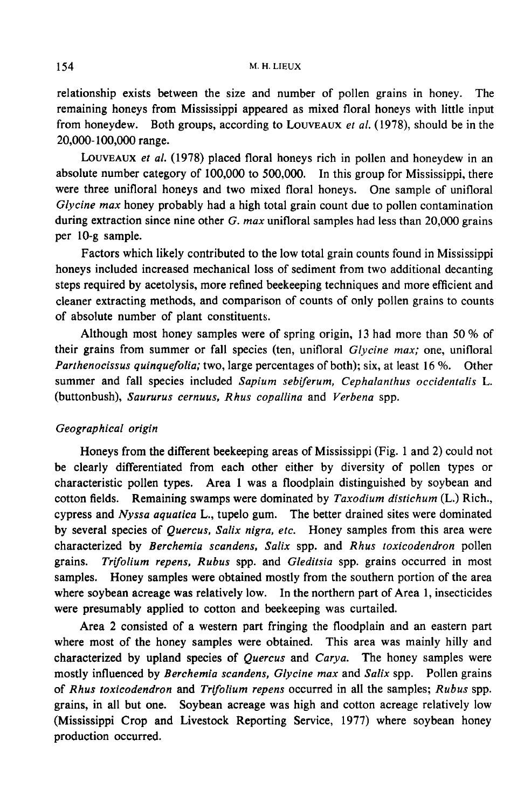## M. H. LIEUX

relationship exists between the size and number of pollen grains in honey. The remaining honeys from Mississippi appeared as mixed floral honeys with little input from honeydew. Both groups, according to LOUVEAUX et al. (1978), should be in the 20,000-100,000 range.

LOUVEAUX et al. (1978) placed floral honeys rich in pollen and honeydew in an absolute number category of 100,000 to 500,000. In this group for Mississippi, there were three unifloral honeys and two mixed floral honeys. One sample of unifloral Glycine max honey probably had a high total grain count due to pollen contamination during extraction since nine other G. max unifloral samples had less than  $20,000$  grains per 10-g sample.

Factors which likely contributed to the low total grain counts found in Mississippi honeys included increased mechanical loss of sediment from two additional decanting steps required by acetolysis, more refined beekeeping techniques and more efficient and cleaner extracting methods, and comparison of counts of only pollen grains to counts of absolute number of plant constituents.

Although most honey samples were of spring origin, 13 had more than 50 % of their grains from summer or fall species (ten, unifloral *Glycine max;* one, unifloral Parthenocissus quinquefolia; two, large percentages of both); six, at least 16 %. Other summer and fall species included Sapium sebiferum, Cephalanthus occidentalis L. (buttonbush), Saururus cernuus, Rhus copallina and Verbena spp.

# Geographical origin

Honeys from the different beekeeping areas of Mississippi (Fig. 1 and 2) could not be clearly differentiated from each other either by diversity of pollen types or characteristic pollen types. Area 1 was a floodplain distinguished by soybean and cotton fields. Remaining swamps were dominated by Taxodium distichum (L.) Rich., cypress and Nyssa aquatica L., tupelo gum. The better drained sites were dominated by several species of *Quercus*, Salix nigra, etc. Honey samples from this area were characterized by Berchemia scandens, Salix spp. and Rhus toxicodendron pollen grains. Trifolium repens, Rubus spp. and Gleditsia spp. grains occurred in most samples. Honey samples were obtained mostly from the southern portion of the area where soybean acreage was relatively low. In the northern part of Area 1, insecticides were presumably applied to cotton and beekeeping was curtailed.

Area 2 consisted of a western part fringing the floodplain and an eastern part where most of the honey samples were obtained. This area was mainly hilly and characterized by upland species of Quercus and Carya. The honey samples were mostly influenced by Berchemia scandens, Glycine max and Salix spp. Pollen grains of Rhus toxicodendron and Trifolium repens occurred in all the samples; Rubus spp. grains, in all but one. Soybean acreage was high and cotton acreage relatively low (Mississippi Crop and Livestock Reporting Service, 1977) where soybean honey production occurred.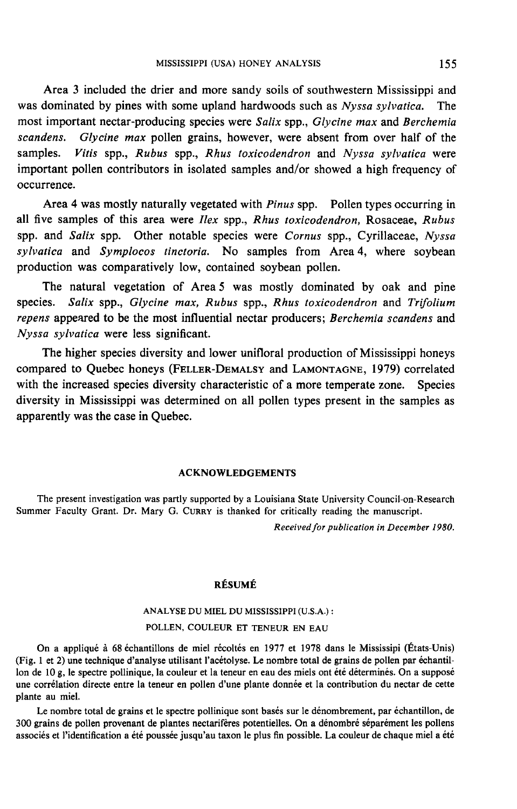Area 3 included the drier and more sandy soils of southwestern Mississippi and was dominated by pines with some upland hardwoods such as Nyssa sylvatica. The most important nectar-producing species were Salix spp., Glycine max and Berchemia scandens. Glycine max pollen grains, however, were absent from over half of the samples. Vitis spp., Rubus spp., Rhus toxicodendron and Nyssa sylvatica were important pollen contributors in isolated samples and/or showed a high frequency of occurrence.

Area 4 was mostly naturally vegetated with Pinus spp. Pollen types occurring in all five samples of this area were Ilex spp., Rhus toxicodendron, Rosaceae, Rubus spp. and Salix spp. Other notable species were Cornus spp., Cyrillaceae, Nyssa sylvatica and Symplocos tinctoria. No samples from Area 4, where soybean production was comparatively low, contained soybean pollen.

The natural vegetation of Area 5 was mostly dominated by oak and pine species. Salix spp., Glycine max, Rubus spp., Rhus toxicodendron and Trifolium repens appeared to be the most influential nectar producers; Berchemia scandens and Nyssa sylvatica were less significant. The natural vegetation of Area 5 was mostly dominated by oak and pine<br>species. Salix spp., Glycine max, Rubus spp., Rhus toxicodendron and Trifolium<br>repens appeared to be the most influential nectar producers; Berchemia sc

The higher species diversity and lower unifloral production of Mississippi honeys compared to Quebec honeys (FELLER-DEMALSY and LAMONTAGNE, 1979) correlated with the increased species diversity characteristic of a more temperate zone. Species diversity in Mississippi was determined on all pollen types present in the samples as apparently was the case in Quebec.

## ACKNOWLEDGEMENTS

The present investigation was partly supported by a Louisiana State University Council-on-Research Summer Faculty Grant. Dr. Mary G. CURRY is thanked for critically reading the manuscript.

Received for publication in December 1980.

## RÉSUMÉ

# ANALYSE DU MIEL DU MISSISSIPPI (U.S.A.) : POLLEN, COULEUR ET TENEUR EN EAU

On a appliqué à 68 échantillons de miel récoltés en 1977 et 1978 dans le Mississipi (États-Unis) (Fig. 1 et 2) une technique d'analyse utilisant l'acétolyse. Le nombre total de grains de pollen par échantillon de 10 g, le spectre pollinique, la couleur et la teneur en eau des miels ont été déterminés. On a supposé une corrélation directe entre la teneur en pollen d'une plante donnée et la contribution du nectar de cette plante au miel.

Le nombre total de grains et le spectre pollinique sont basés sur le dénombrement, par échantillon, de 300 grains de pollen provenant de plantes nectarifères potentielles. On a dénombré séparément les pollens associés et l'identification a été poussée jusqu'au taxon le plus fin possible. La couleur de chaque miel a été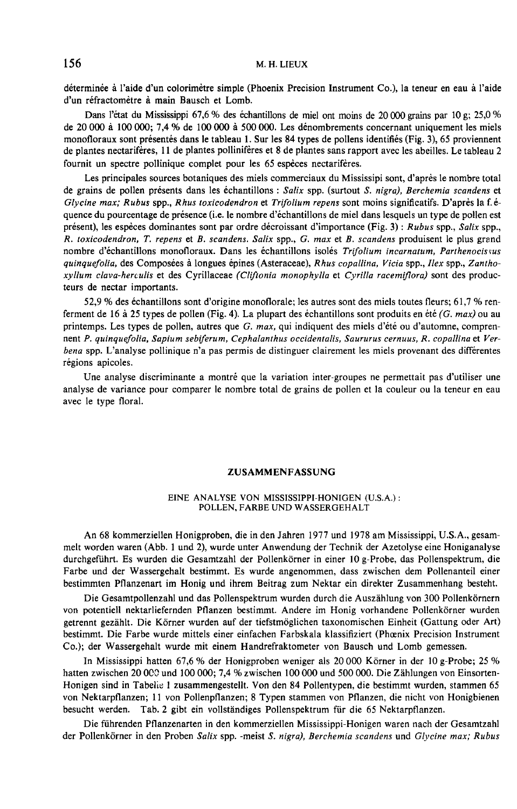déterminée à l'aide d'un colorimètre simple (Phoenix Precision Instrument Co.), la teneur en eau à l'aide d'un réfractomètre à main Bausch et Lomb.

Dans l'état du Mississippi 67,6 % des échantillons de miel ont moins de 20 000 grains par 10 g; 25,0 % de 20 000 à 100 000; 7,4 % de 100 000 à 500 000. Les dénombrements concernant uniquement les miels monofloraux sont présentés dans le tableau 1. Sur les 84 types de pollens identifiés (Fig. 3), 65 proviennent de plantes nectarifères, 11 de plantes pollinifères et 8 de plantes sans rapport avec les abeilles. Le tableau 2 fournit un spectre pollinique complet pour les 65 espèces nectarifères.

Les principales sources botaniques des miels commerciaux du Mississipi sont, d'après le nombre total de grains de pollen présents dans les échantillons : Salix spp. (surtout S. nigra), Berchemia scandens et Glycine max; Rubus spp., Rhus toxicodendron et Trifolium repens sont moins significatifs. D'après la f.équence du pourcentage de présence (i.e. le nombre d'échantillons de miel dans lesquels un type de pollen est présent), les espèces dominantes sont par ordre décroissant d'importance (Fig. 3) : Rubus spp., Salix spp., R. toxicodendron, T. repens et B. scandens. Salix spp., G. max et B. scandens produisent le plus grand nombre d'échantillons monofloraux. Dans les échantillons isolés Trifolium incarnatum, Parthenocissus quinquefolia, des Composées à longues épines (Asteraceae), Rhus copallina, Vicia spp., Ilex spp., Zanthoxyllum clava-herculis et des Cyrillaceae (Cliftonia monophylla et Cyrilla racemiflora) sont des producteurs de nectar importants.

52,9 % des échantillons sont d'origine monotlorale; les autres sont des miels toutes fleurs; 61,7 % renferment de 16 à 25 types de pollen (Fig. 4). La plupart des échantillons sont produits en été (G. max) ou au printemps. Les types de pollen, autres que  $G$ .  $max$ , qui indiquent des miels d'été ou d'automne, comprennent P. quinquefolia, Sapium sebiferum, Cephalanthus occidentalis, Saururus cernuus, R. copallina et Verbena spp. L'analyse pollinique n'a pas permis de distinguer clairement les miels provenant des différentes régions apicoles.

Une analyse discriminante a montré que la variation inter-groupes ne permettait pas d'utiliser une analyse de variance pour comparer le nombre total de grains de pollen et la couleur ou la teneur en eau avec le type floral.

## ZUSAMMENFASSUNG

## EINE ANALYSE VON MISSISSIPPI-HONIGEN (U.S.A.) : POLLEN, FARBE UND WASSERGEHALT

An 68 kommerziellen Honigproben, die in den Jahren 1977 und 1978 am Mississippi, U.S.A., gesammelt worden waren (Abb. 1 und 2), wurde unter Anwendung der Technik der Azetolyse eine Honiganalyse durchgeführt. Es wurden die Gesamtzahl der Pollenkörner in einer 10 g-Probe, das Pollenspektrum, die Farbe und der Wassergehalt bestimmt. Es wurde angenommen, dass zwischen dem Pollenanteil einer bestimmten Pflanzenart im Honig und ihrem Beitrag zum Nektar ein direkter Zusammenhang besteht.

Die Gesamtpollenzahl und das Pollenspektrum wurden durch die Auszählung von 300 Pollenkörnern von potentiell nektarliefernden Pflanzen bestimmt. Andere im Honig vorhandene Pollenkörner wurden getrennt gezählt. Die Körner wurden auf der tiefstmöglichen taxonomischen Einheit (Gattung oder Art) bestimmt. Die Farbe wurde mittels einer einfachen Farbskala klassifiziert (Phoenix Precision Instrument Co.); der Wassergehalt wurde mit einem Handrefraktometer von Bausch und Lomb gemessen.

In Mississippi hatten 67,6 % der Honigproben weniger als 20 000 Körner in der 10 g-Probe; 25 % hatten zwischen 20 000 und 100 000; 7,4 % zwischen 100 000 und 500 000. Die Zählungen von Einsorten-Honigen sind in Tabelle 1 zusammengestellt. Von den 84 Pollentypen, die bestimmt wurden, stammen 65 von Nektarpflanzen; 11 von Pollenpflanzen; 8 Typen stammen von Pflanzen, die nicht von Honigbienen besucht werden. Tab. 2 gibt ein vollständiges Pollenspektrum für die 65 Nektarpflanzen.

Die führenden Pflanzenarten in den kommerziellen Mississippi-Honigen waren nach der Gesamtzahl der Pollenkörner in den Proben Salix spp. -meist S. nigra), Berchemia scandens und Glycine max; Rubus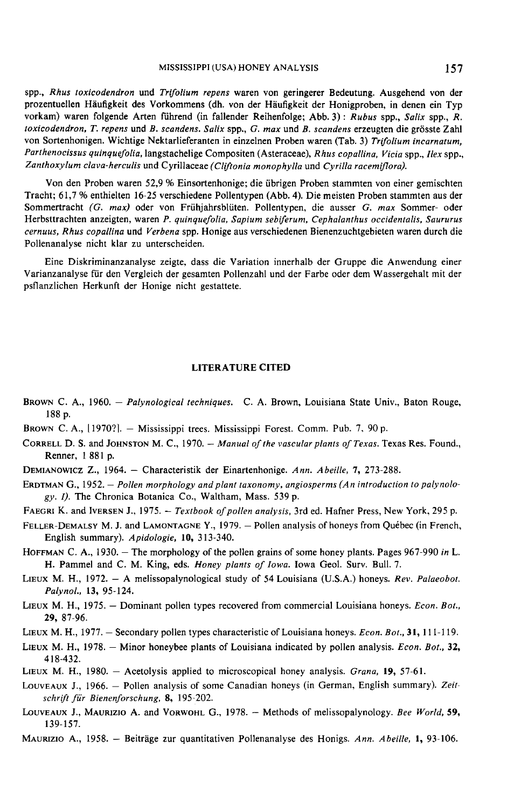spp., Rhus toxicodendron und Trifolium repens waren von geringerer Bedeutung. Ausgehend von der prozentuellen Häufigkeit des Vorkommens (dh. von der Häufigkeit der Honigproben, in denen ein Typ vorkam) waren folgende Arten führend (in fallender Reihenfolge; Abb. 3): Rubus spp., Salix spp., R. toxicodendron, T. repens und B. scandens. Salix spp., G. max und B. scandens erzeugten die grösste Zahl von Sortenhonigen. Wichtige Nektarlieferanten in einzelnen Proben waren (Tab. 3) Trifolium incarnatum, Parthenocissus quinquefolia, langstachelige Compositen (Asteraceae), Rhus copallina, Vicia spp., Ilex spp., Zanthoxylum clava-herculis und Cyrillaceae (Cliftonia monophylla und Cyrilla racemiflora).

Von den Proben waren 52,9 % Einsortenhonige; die übrigen Proben stammten von einer gemischten Tracht; 61,7 % enthielten 16-25 verschiedene Pollentypen (Abb. 4). Die meisten Proben stammten aus der Sommertracht (G. max) oder von Frühjahrsblüten. Pollentypen, die ausser G. max Sommer- oder Herbsttrachten anzeigten, waren P. quinquefolia, Sapium sebiferum, Cephalanthus occidentalis, Saururus cernuus, Rhus copallina und Verbena spp. Honige aus verschiedenen Bienenzuchtgebieten waren durch die Pollenanalyse nicht klar zu unterscheiden.

Eine Diskriminanzanalyse zeigte, dass die Variation innerhalb der Gruppe die Anwendung einer Varianzanalyse für den Vergleich der gesamten Pollenzahl und der Farbe oder dem Wassergehalt mit der psflanzlichen Herkunft der Honige nicht gestattete.

#### LITERATURE CITED

- BROWN C. A., 1960. *Palynological techniques.* C. A. Brown, Louisiana State Univ., Baton Rouge, 188 p.<br>BROWN C. A., [1970?]. Mississippi trees. Mississippi Forest. Comm. Pub. 7, 90 p.<br>CORRELL D. S. and JOHNSTON M. C., 188 p. Brown C. A.,<br>
188 p.<br>
Brown C. A.,<br>
Correll D. S<br>
Renner,<br>
Demianowicz<br>
Erdtman G.,
- BROWN C. A., [1970?]. Mississippi trees. Mississippi Forest. Comm. Pub. 7, 90 p.
- Renner, 1 881 p. CORRELL D. S. and JOHNSTON M. C., 1970. - *Manual of the vascular plants of Texas*. Texas Res. Found.,<br>Renner, 1881 p.<br>DEMIANOWICZ Z., 1964. - Characteristik der Einartenhonige. Ann. Abeille, 7, 273-288.<br>ERDTMAN G., 1952. CORRELL D. S. an<br>
Renner, 188<br>
DEMIANOWICZ Z.<br>
ERDTMAN G., 195<br>
gy. *I*). The C<br>
FAEGRI K. and IV<br>
FELLER-DEMALSY<br>
English sum<br>
HOFFMAN C A
- DEMIANOWICZ Z., 1964. Characteristik der Einartenhonige. Ann. Abeille, 7, 273-288.
- gy. I). The Chronica Botanica Co., Waltham, Mass. 539 p. ERDTMANOWICZ L., 1964. – Characteristik der Einartenhonige. Ann. Abettie, 1, 213-288.<br>ERDTMAN G., 1952. – Pollen morphology and plant taxonomy, angiosperms (An introduction to palynology. 1). The Chronica Botanica Co., Wal
- 
- ERIMALST 2., 1964. Characteristik der Einartenhonige. Ann. Abeille, 7, 273-288.<br>
ERIMAN G., 1952. Pollen morphology and plant taxonomy, angiosperms (An introduction to palynology. I). The Chronica Botanica Co., Waltham English summary). Apidologie, 10, 313-340. FAEGRI K. and IVERSEN J., 1975. - *Textbook of pollen analysis*, 3rd ed. Hafner Press, New York, 295 p.<br>FELLER-DEMALSY M. J. and LAMONTAGNE Y., 1979. - Pollen analysis of honeys from Québec (in French<br>English summary). Api
- H. Pammel and C. M. King, eds. Honey plants of Iowa. Iowa Geol. Surv. Bull. 7. HOFFMAN C. A., 1930. - The morphology of the pollen grains of some honey plants. Pages 967-990 in L.<br>H. Pammel and C. M. King, eds. *Honey plants of Iowa*. Iowa Geol. Surv. Bull. 7.<br>LIEUX M. H., 1972. - A melissopalynologi
- Palynol., 13, 95-124.
- LIEUX M. H., 1975. Dominant pollen types recovered from commercial Louisiana honeys. Econ. Bot., 29, 87-96. LIEUX M. H., 1975. – Dominant pollen types recovered from commercial Louisiana honeys. Econ. Bot.<br>29, 87-96.<br>LIEUX M. H., 1977. – Secondary pollen types characteristic of Louisiana honeys. Econ. Bot., 31, 111-119.
- 
- LIEUX M. H., 1977. Secondary pollen types characteristic of Louisiana honeys. *Econ. Bot.*, 31, 111-119.<br>LIEUX M. H., 1978. Minor honeybee plants of Louisiana indicated by pollen analysis. *Econ. Bot.*, 32, 418-432. LIEUX M. H., 1978. – Minor honeybee plants of Louisiana indicated by pollen analysis. *Econ. Bot.*, 32, 418-432.<br>LIEUX M. H., 1980. – Acetolysis applied to microscopical honey analysis. *Grana*, 19, 57-61.
- 
- LoUVEAUX J., 1966. Pollen analysis of some Canadian honeys (in German, English summary). Zeitschrift für Bienenforschung, 8, 195-202. LIEUX M. H., 1980. – Acetolysis applied to microscopical honey analysis. *Grana*, 19, 57-61.<br>LOUVEAUX J., 1966. – Pollen analysis of some Canadian honeys (in German, English summary). Zeit-<br>schrift für Bienenforschung, 8,
- 139-157. LOUVEAUX J., MAURIZIO A. and VORWOHL G., 1978. - Methods of melissopalynology. Bee World, 59, 139-157.<br>MAURIZIO A., 1958. - Beiträge zur quantitativen Pollenanalyse des Honigs. Ann. Abeille, 1, 93-106.
-